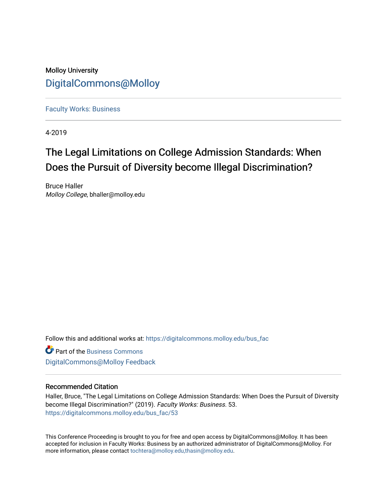# Molloy University [DigitalCommons@Molloy](https://digitalcommons.molloy.edu/)

[Faculty Works: Business](https://digitalcommons.molloy.edu/bus_fac) 

4-2019

# The Legal Limitations on College Admission Standards: When Does the Pursuit of Diversity become Illegal Discrimination?

Bruce Haller Molloy College, bhaller@molloy.edu

Follow this and additional works at: [https://digitalcommons.molloy.edu/bus\\_fac](https://digitalcommons.molloy.edu/bus_fac?utm_source=digitalcommons.molloy.edu%2Fbus_fac%2F53&utm_medium=PDF&utm_campaign=PDFCoverPages)

**C** Part of the [Business Commons](https://network.bepress.com/hgg/discipline/622?utm_source=digitalcommons.molloy.edu%2Fbus_fac%2F53&utm_medium=PDF&utm_campaign=PDFCoverPages) [DigitalCommons@Molloy Feedback](https://molloy.libwizard.com/f/dcfeedback)

#### Recommended Citation

Haller, Bruce, "The Legal Limitations on College Admission Standards: When Does the Pursuit of Diversity become Illegal Discrimination?" (2019). Faculty Works: Business. 53. [https://digitalcommons.molloy.edu/bus\\_fac/53](https://digitalcommons.molloy.edu/bus_fac/53?utm_source=digitalcommons.molloy.edu%2Fbus_fac%2F53&utm_medium=PDF&utm_campaign=PDFCoverPages) 

This Conference Proceeding is brought to you for free and open access by DigitalCommons@Molloy. It has been accepted for inclusion in Faculty Works: Business by an authorized administrator of DigitalCommons@Molloy. For more information, please contact [tochtera@molloy.edu,thasin@molloy.edu.](mailto:tochtera@molloy.edu,thasin@molloy.edu)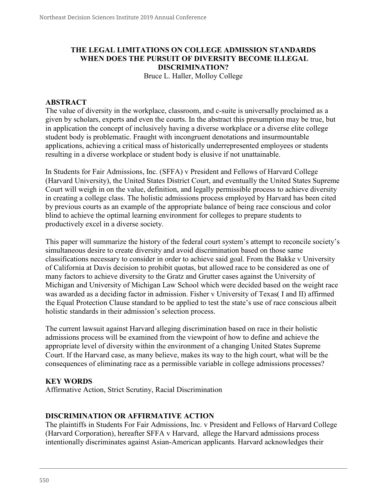# **THE LEGAL LIMITATIONS ON COLLEGE ADMISSION STANDARDS WHEN DOES THE PURSUIT OF DIVERSITY BECOME ILLEGAL DISCRIMINATION?**

Bruce L. Haller, Molloy College

#### **ABSTRACT**

The value of diversity in the workplace, classroom, and c-suite is universally proclaimed as a given by scholars, experts and even the courts. In the abstract this presumption may be true, but in application the concept of inclusively having a diverse workplace or a diverse elite college student body is problematic. Fraught with incongruent denotations and insurmountable applications, achieving a critical mass of historically underrepresented employees or students resulting in a diverse workplace or student body is elusive if not unattainable.

In Students for Fair Admissions, Inc. (SFFA) v President and Fellows of Harvard College (Harvard University), the United States District Court, and eventually the United States Supreme Court will weigh in on the value, definition, and legally permissible process to achieve diversity in creating a college class. The holistic admissions process employed by Harvard has been cited by previous courts as an example of the appropriate balance of being race conscious and color blind to achieve the optimal learning environment for colleges to prepare students to productively excel in a diverse society.

This paper will summarize the history of the federal court system's attempt to reconcile society's simultaneous desire to create diversity and avoid discrimination based on those same classifications necessary to consider in order to achieve said goal. From the Bakke v University of California at Davis decision to prohibit quotas, but allowed race to be considered as one of many factors to achieve diversity to the Gratz and Grutter cases against the University of Michigan and University of Michigan Law School which were decided based on the weight race was awarded as a deciding factor in admission. Fisher v University of Texas( I and II) affirmed the Equal Protection Clause standard to be applied to test the state's use of race conscious albeit holistic standards in their admission's selection process.

The current lawsuit against Harvard alleging discrimination based on race in their holistic admissions process will be examined from the viewpoint of how to define and achieve the appropriate level of diversity within the environment of a changing United States Supreme Court. If the Harvard case, as many believe, makes its way to the high court, what will be the consequences of eliminating race as a permissible variable in college admissions processes?

#### **KEY WORDS**

Affirmative Action, Strict Scrutiny, Racial Discrimination

#### **DISCRIMINATION OR AFFIRMATIVE ACTION**

The plaintiffs in Students For Fair Admissions, Inc. v President and Fellows of Harvard College (Harvard Corporation), hereafter SFFA v Harvard, allege the Harvard admissions process intentionally discriminates against Asian-American applicants. Harvard acknowledges their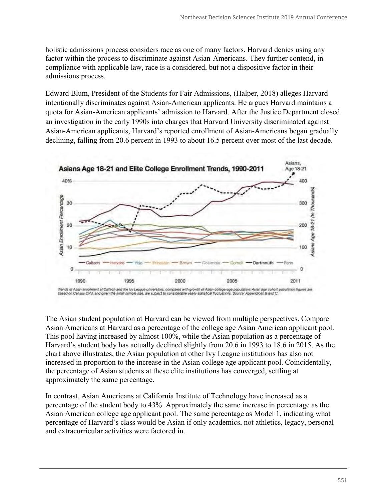holistic admissions process considers race as one of many factors. Harvard denies using any factor within the process to discriminate against Asian-Americans. They further contend, in compliance with applicable law, race is a considered, but not a dispositive factor in their admissions process.

Edward Blum, President of the Students for Fair Admissions, (Halper, 2018) alleges Harvard intentionally discriminates against Asian-American applicants. He argues Harvard maintains a quota for Asian-American applicants' admission to Harvard. After the Justice Department closed an investigation in the early 1990s into charges that Harvard University discriminated against Asian-American applicants, Harvard's reported enrollment of Asian-Americans began gradually declining, falling from 20.6 percent in 1993 to about 16.5 percent over most of the last decade.



The Asian student population at Harvard can be viewed from multiple perspectives. Compare Asian Americans at Harvard as a percentage of the college age Asian American applicant pool. This pool having increased by almost 100%, while the Asian population as a percentage of Harvard's student body has actually declined slightly from 20.6 in 1993 to 18.6 in 2015. As the chart above illustrates, the Asian population at other Ivy League institutions has also not increased in proportion to the increase in the Asian college age applicant pool. Coincidentally, the percentage of Asian students at these elite institutions has converged, settling at approximately the same percentage.

In contrast, Asian Americans at California Institute of Technology have increased as a percentage of the student body to 43%. Approximately the same increase in percentage as the Asian American college age applicant pool. The same percentage as Model 1, indicating what percentage of Harvard's class would be Asian if only academics, not athletics, legacy, personal and extracurricular activities were factored in.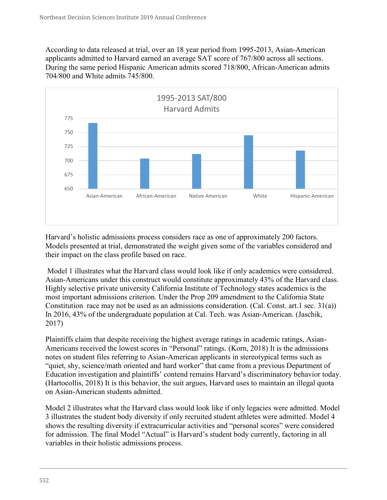According to data released at trial, over an 18 year period from 1995-2013, Asian-American applicants admitted to Harvard earned an average SAT score of 767/800 across all sections. During the same period Hispanic American admits scored 718/800, African-American admits 704/800 and White admits 745/800.



Harvard's holistic admissions process considers race as one of approximately 200 factors. Models presented at trial, demonstrated the weight given some of the variables considered and their impact on the class profile based on race.

Model 1 illustrates what the Harvard class would look like if only academics were considered. Asian-Americans under this construct would constitute approximately 43% of the Harvard class. Highly selective private university California Institute of Technology states academics is the most important admissions criterion. Under the Prop 209 amendment to the California State Constitution race may not be used as an admissions consideration. (Cal. Const. art.1 sec. 31(a)) In 2016, 43% of the undergraduate population at Cal. Tech. was Asian-American. (Jaschik, 2017)

Plaintiffs claim that despite receiving the highest average ratings in academic ratings, Asian-Americans received the lowest scores in "Personal" ratings. (Korn, 2018) It is the admissions notes on student files referring to Asian-American applicants in stereotypical terms such as "quiet, shy, science/math oriented and hard worker" that came from a previous Department of Education investigation and plaintiffs' contend remains Harvard's discriminatory behavior today. (Hartocollis, 2018) It is this behavior, the suit argues, Harvard uses to maintain an illegal quota on Asian-American students admitted.

Model 2 illustrates what the Harvard class would look like if only legacies were admitted. Model 3 illustrates the student body diversity if only recruited student athletes were admitted. Model 4 shows the resulting diversity if extracurricular activities and "personal scores" were considered for admission. The final Model "Actual" is Harvard's student body currently, factoring in all variables in their holistic admissions process.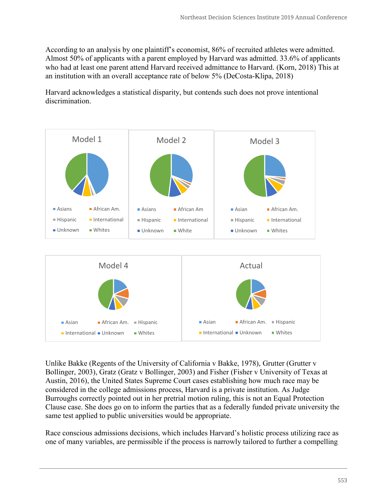According to an analysis by one plaintiff's economist, 86% of recruited athletes were admitted. Almost 50% of applicants with a parent employed by Harvard was admitted. 33.6% of applicants who had at least one parent attend Harvard received admittance to Harvard. (Korn, 2018) This at an institution with an overall acceptance rate of below 5% (DeCosta-Klipa, 2018)

Harvard acknowledges a statistical disparity, but contends such does not prove intentional discrimination.



Unlike Bakke (Regents of the University of California v Bakke, 1978), Grutter (Grutter v Bollinger, 2003), Gratz (Gratz v Bollinger, 2003) and Fisher (Fisher v University of Texas at Austin, 2016), the United States Supreme Court cases establishing how much race may be considered in the college admissions process, Harvard is a private institution. As Judge Burroughs correctly pointed out in her pretrial motion ruling, this is not an Equal Protection Clause case. She does go on to inform the parties that as a federally funded private university the same test applied to public universities would be appropriate.

Race conscious admissions decisions, which includes Harvard's holistic process utilizing race as one of many variables, are permissible if the process is narrowly tailored to further a compelling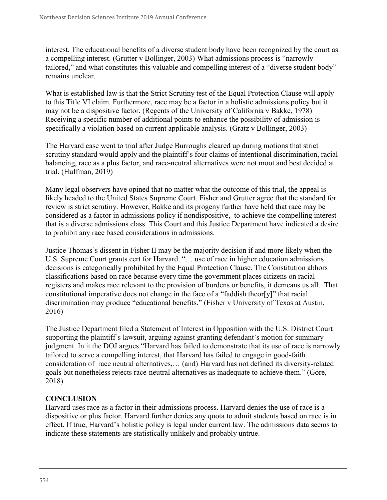interest. The educational benefits of a diverse student body have been recognized by the court as a compelling interest. (Grutter v Bollinger, 2003) What admissions process is "narrowly tailored," and what constitutes this valuable and compelling interest of a "diverse student body" remains unclear.

What is established law is that the Strict Scrutiny test of the Equal Protection Clause will apply to this Title VI claim. Furthermore, race may be a factor in a holistic admissions policy but it may not be a dispositive factor. (Regents of the University of California v Bakke, 1978) Receiving a specific number of additional points to enhance the possibility of admission is specifically a violation based on current applicable analysis. (Gratz v Bollinger, 2003)

The Harvard case went to trial after Judge Burroughs cleared up during motions that strict scrutiny standard would apply and the plaintiff's four claims of intentional discrimination, racial balancing, race as a plus factor, and race-neutral alternatives were not moot and best decided at trial. (Huffman, 2019)

Many legal observers have opined that no matter what the outcome of this trial, the appeal is likely headed to the United States Supreme Court. Fisher and Grutter agree that the standard for review is strict scrutiny. However, Bakke and its progeny further have held that race may be considered as a factor in admissions policy if nondispositive, to achieve the compelling interest that is a diverse admissions class. This Court and this Justice Department have indicated a desire to prohibit any race based considerations in admissions.

Justice Thomas's dissent in Fisher II may be the majority decision if and more likely when the U.S. Supreme Court grants cert for Harvard. "… use of race in higher education admissions decisions is categorically prohibited by the Equal Protection Clause. The Constitution abhors classifications based on race because every time the government places citizens on racial registers and makes race relevant to the provision of burdens or benefits, it demeans us all. That constitutional imperative does not change in the face of a "faddish theor[y]" that racial discrimination may produce "educational benefits." (Fisher v University of Texas at Austin, 2016)

The Justice Department filed a Statement of Interest in Opposition with the U.S. District Court supporting the plaintiff's lawsuit, arguing against granting defendant's motion for summary judgment. In it the DOJ argues "Harvard has failed to demonstrate that its use of race is narrowly tailored to serve a compelling interest, that Harvard has failed to engage in good-faith consideration of race neutral alternatives,… (and) Harvard has not defined its diversity-related goals but nonetheless rejects race-neutral alternatives as inadequate to achieve them." (Gore, 2018)

## **CONCLUSION**

Harvard uses race as a factor in their admissions process. Harvard denies the use of race is a dispositive or plus factor. Harvard further denies any quota to admit students based on race is in effect. If true, Harvard's holistic policy is legal under current law. The admissions data seems to indicate these statements are statistically unlikely and probably untrue.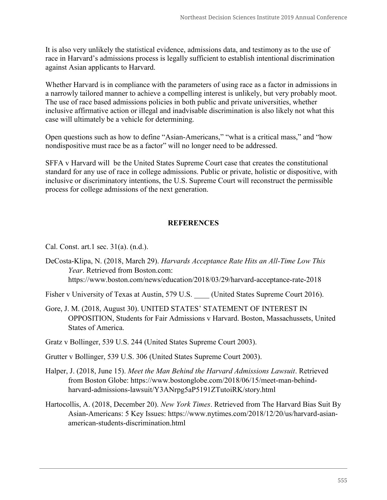It is also very unlikely the statistical evidence, admissions data, and testimony as to the use of race in Harvard's admissions process is legally sufficient to establish intentional discrimination against Asian applicants to Harvard.

Whether Harvard is in compliance with the parameters of using race as a factor in admissions in a narrowly tailored manner to achieve a compelling interest is unlikely, but very probably moot. The use of race based admissions policies in both public and private universities, whether inclusive affirmative action or illegal and inadvisable discrimination is also likely not what this case will ultimately be a vehicle for determining.

Open questions such as how to define "Asian-Americans," "what is a critical mass," and "how nondispositive must race be as a factor" will no longer need to be addressed.

SFFA v Harvard will be the United States Supreme Court case that creates the constitutional standard for any use of race in college admissions. Public or private, holistic or dispositive, with inclusive or discriminatory intentions, the U.S. Supreme Court will reconstruct the permissible process for college admissions of the next generation.

## **REFERENCES**

Cal. Const. art.1 sec. 31(a). (n.d.).

- DeCosta-Klipa, N. (2018, March 29). *Harvards Acceptance Rate Hits an All-Time Low This Year*. Retrieved from Boston.com: https://www.boston.com/news/education/2018/03/29/harvard-acceptance-rate-2018
- Fisher v University of Texas at Austin, 579 U.S. (United States Supreme Court 2016).
- Gore, J. M. (2018, August 30). UNITED STATES' STATEMENT OF INTEREST IN OPPOSITION, Students for Fair Admissions v Harvard. Boston, Massachussets, United States of America.

Gratz v Bollinger, 539 U.S. 244 (United States Supreme Court 2003).

Grutter v Bollinger, 539 U.S. 306 (United States Supreme Court 2003).

- Halper, J. (2018, June 15). *Meet the Man Behind the Harvard Admissions Lawsuit*. Retrieved from Boston Globe: https://www.bostonglobe.com/2018/06/15/meet-man-behindharvard-admissions-lawsuit/Y3ANrpg5aP5191ZTutoiRK/story.html
- Hartocollis, A. (2018, December 20). *New York Times*. Retrieved from The Harvard Bias Suit By Asian-Americans: 5 Key Issues: https://www.nytimes.com/2018/12/20/us/harvard-asianamerican-students-discrimination.html